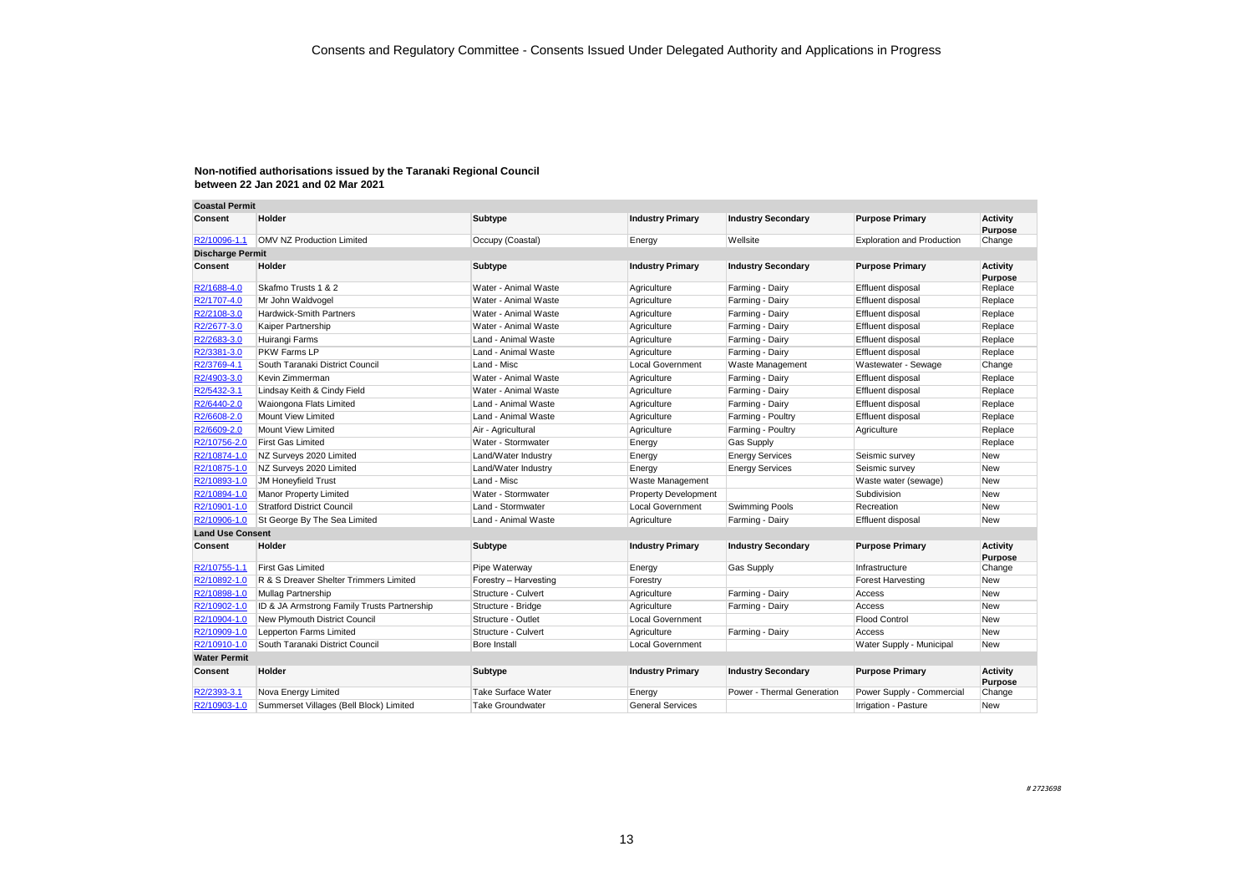| <b>Coastal Permit</b>   |                                             |                           |                             |                            |                                   |                                   |
|-------------------------|---------------------------------------------|---------------------------|-----------------------------|----------------------------|-----------------------------------|-----------------------------------|
| Consent                 | Holder                                      | Subtype                   | <b>Industry Primary</b>     | <b>Industry Secondary</b>  | <b>Purpose Primary</b>            | <b>Activity</b><br><b>Purpose</b> |
| R2/10096-1.1            | <b>OMV NZ Production Limited</b>            | Occupy (Coastal)          | Energy                      | Wellsite                   | <b>Exploration and Production</b> | Change                            |
| <b>Discharge Permit</b> |                                             |                           |                             |                            |                                   |                                   |
| Consent                 | Holder                                      | Subtype                   | <b>Industry Primary</b>     | <b>Industry Secondary</b>  | <b>Purpose Primary</b>            | <b>Activity</b><br>Purpose        |
| R2/1688-4.0             | Skafmo Trusts 1 & 2                         | Water - Animal Waste      | Agriculture                 | Farming - Dairy            | Effluent disposal                 | Replace                           |
| R2/1707-4.0             | Mr John Waldvogel                           | Water - Animal Waste      | Agriculture                 | Farming - Dairy            | Effluent disposal                 | Replace                           |
| R2/2108-3.0             | <b>Hardwick-Smith Partners</b>              | Water - Animal Waste      | Agriculture                 | Farming - Dairy            | Effluent disposal                 | Replace                           |
| R2/2677-3.0             | Kaiper Partnership                          | Water - Animal Waste      | Agriculture                 | Farming - Dairy            | Effluent disposal                 | Replace                           |
| R2/2683-3.0             | Huirangi Farms                              | Land - Animal Waste       | Agriculture                 | Farming - Dairy            | Effluent disposal                 | Replace                           |
| R2/3381-3.0             | PKW Farms LP                                | Land - Animal Waste       | Agriculture                 | Farming - Dairy            | Effluent disposal                 | Replace                           |
| R2/3769-4.1             | South Taranaki District Council             | Land - Misc               | <b>Local Government</b>     | Waste Management           | Wastewater - Sewage               | Change                            |
| R2/4903-3.0             | Kevin Zimmerman                             | Water - Animal Waste      | Agriculture                 | Farming - Dairy            | Effluent disposal                 | Replace                           |
| R2/5432-3.1             | Lindsay Keith & Cindy Field                 | Water - Animal Waste      | Agriculture                 | Farming - Dairy            | Effluent disposal                 | Replace                           |
| R2/6440-2.0             | Waiongona Flats Limited                     | Land - Animal Waste       | Agriculture                 | Farming - Dairy            | Effluent disposal                 | Replace                           |
| R2/6608-2.0             | Mount View Limited                          | Land - Animal Waste       | Agriculture                 | Farming - Poultry          | Effluent disposal                 | Replace                           |
| R2/6609-2.0             | Mount View Limited                          | Air - Agricultural        | Agriculture                 | Farming - Poultry          | Agriculture                       | Replace                           |
| R2/10756-2.0            | <b>First Gas Limited</b>                    | Water - Stormwater        | Energy                      | <b>Gas Supply</b>          |                                   | Replace                           |
| R2/10874-1.0            | NZ Surveys 2020 Limited                     | Land/Water Industry       | Energy                      | <b>Energy Services</b>     | Seismic survey                    | New                               |
| R2/10875-1.0            | NZ Surveys 2020 Limited                     | Land/Water Industry       | Energy                      | <b>Energy Services</b>     | Seismic survey                    | <b>New</b>                        |
| R2/10893-1.0            | <b>JM Honeyfield Trust</b>                  | Land - Misc               | Waste Management            |                            | Waste water (sewage)              | New                               |
| R2/10894-1.0            | Manor Property Limited                      | Water - Stormwater        | <b>Property Development</b> |                            | Subdivision                       | <b>New</b>                        |
| R2/10901-1.0            | <b>Stratford District Council</b>           | Land - Stormwater         | <b>Local Government</b>     | Swimming Pools             | Recreation                        | New                               |
| R2/10906-1.0            | St George By The Sea Limited                | Land - Animal Waste       | Agriculture                 | Farming - Dairy            | Effluent disposal                 | <b>New</b>                        |
| <b>Land Use Consent</b> |                                             |                           |                             |                            |                                   |                                   |
| Consent                 | Holder                                      | Subtype                   | <b>Industry Primary</b>     | <b>Industry Secondary</b>  | <b>Purpose Primary</b>            | <b>Activity</b><br>Purpose        |
| R2/10755-1.1            | <b>First Gas Limited</b>                    | Pipe Waterway             | Energy                      | <b>Gas Supply</b>          | Infrastructure                    | Change                            |
| R2/10892-1.0            | R & S Dreaver Shelter Trimmers Limited      | Forestry - Harvesting     | Forestry                    |                            | Forest Harvesting                 | <b>New</b>                        |
| R2/10898-1.0            | Mullag Partnership                          | Structure - Culvert       | Agriculture                 | Farming - Dairy            | Access                            | <b>New</b>                        |
| R2/10902-1.0            | ID & JA Armstrong Family Trusts Partnership | Structure - Bridge        | Agriculture                 | Farming - Dairy            | Access                            | <b>New</b>                        |
| R2/10904-1.0            | New Plymouth District Council               | Structure - Outlet        | <b>Local Government</b>     |                            | <b>Flood Control</b>              | <b>New</b>                        |
| R2/10909-1.0            | Lepperton Farms Limited                     | Structure - Culvert       | Agriculture                 | Farming - Dairy            | Access                            | New                               |
| R2/10910-1.0            | South Taranaki District Council             | Bore Install              | <b>Local Government</b>     |                            | Water Supply - Municipal          | <b>New</b>                        |
| <b>Water Permit</b>     |                                             |                           |                             |                            |                                   |                                   |
| Consent                 | Holder                                      | Subtype                   | <b>Industry Primary</b>     | <b>Industry Secondary</b>  | <b>Purpose Primary</b>            | <b>Activity</b><br>Purpose        |
| R2/2393-3.1             | Nova Energy Limited                         | <b>Take Surface Water</b> | Energy                      | Power - Thermal Generation | Power Supply - Commercial         | Change                            |
| R2/10903-1.0            | Summerset Villages (Bell Block) Limited     | <b>Take Groundwater</b>   | <b>General Services</b>     |                            | Irrigation - Pasture              | New                               |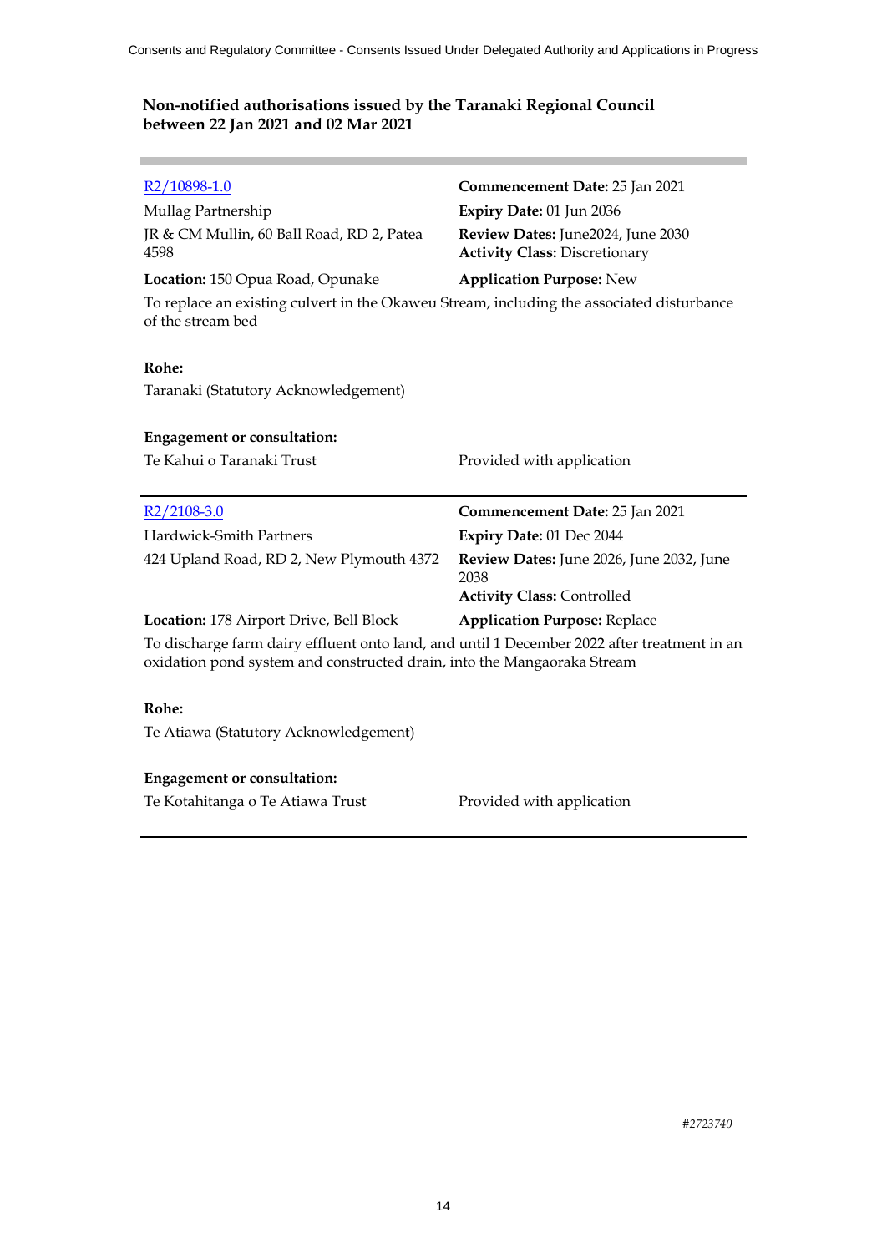| R <sub>2</sub> /10898-1.0                                                                                                                                              | Commencement Date: 25 Jan 2021                                                        |  |
|------------------------------------------------------------------------------------------------------------------------------------------------------------------------|---------------------------------------------------------------------------------------|--|
| Mullag Partnership                                                                                                                                                     | Expiry Date: 01 Jun 2036                                                              |  |
| JR & CM Mullin, 60 Ball Road, RD 2, Patea<br>4598                                                                                                                      | Review Dates: June2024, June 2030<br><b>Activity Class: Discretionary</b>             |  |
| Location: 150 Opua Road, Opunake                                                                                                                                       | <b>Application Purpose: New</b>                                                       |  |
| To replace an existing culvert in the Okaweu Stream, including the associated disturbance<br>of the stream bed                                                         |                                                                                       |  |
| Rohe:                                                                                                                                                                  |                                                                                       |  |
| Taranaki (Statutory Acknowledgement)                                                                                                                                   |                                                                                       |  |
| <b>Engagement or consultation:</b>                                                                                                                                     |                                                                                       |  |
| Te Kahui o Taranaki Trust                                                                                                                                              | Provided with application                                                             |  |
| $R2/2108-3.0$                                                                                                                                                          | Commencement Date: 25 Jan 2021                                                        |  |
| Hardwick-Smith Partners                                                                                                                                                | Expiry Date: 01 Dec 2044                                                              |  |
| 424 Upland Road, RD 2, New Plymouth 4372                                                                                                                               | Review Dates: June 2026, June 2032, June<br>2038<br><b>Activity Class: Controlled</b> |  |
| Location: 178 Airport Drive, Bell Block                                                                                                                                | <b>Application Purpose: Replace</b>                                                   |  |
| To discharge farm dairy effluent onto land, and until 1 December 2022 after treatment in an<br>oxidation pond system and constructed drain, into the Mangaoraka Stream |                                                                                       |  |
| Rohe:                                                                                                                                                                  |                                                                                       |  |
| Te Atiawa (Statutory Acknowledgement)                                                                                                                                  |                                                                                       |  |
| <b>Engagement or consultation:</b>                                                                                                                                     |                                                                                       |  |

**COL** 

Te Kotahitanga o Te Atiawa Trust Provided with application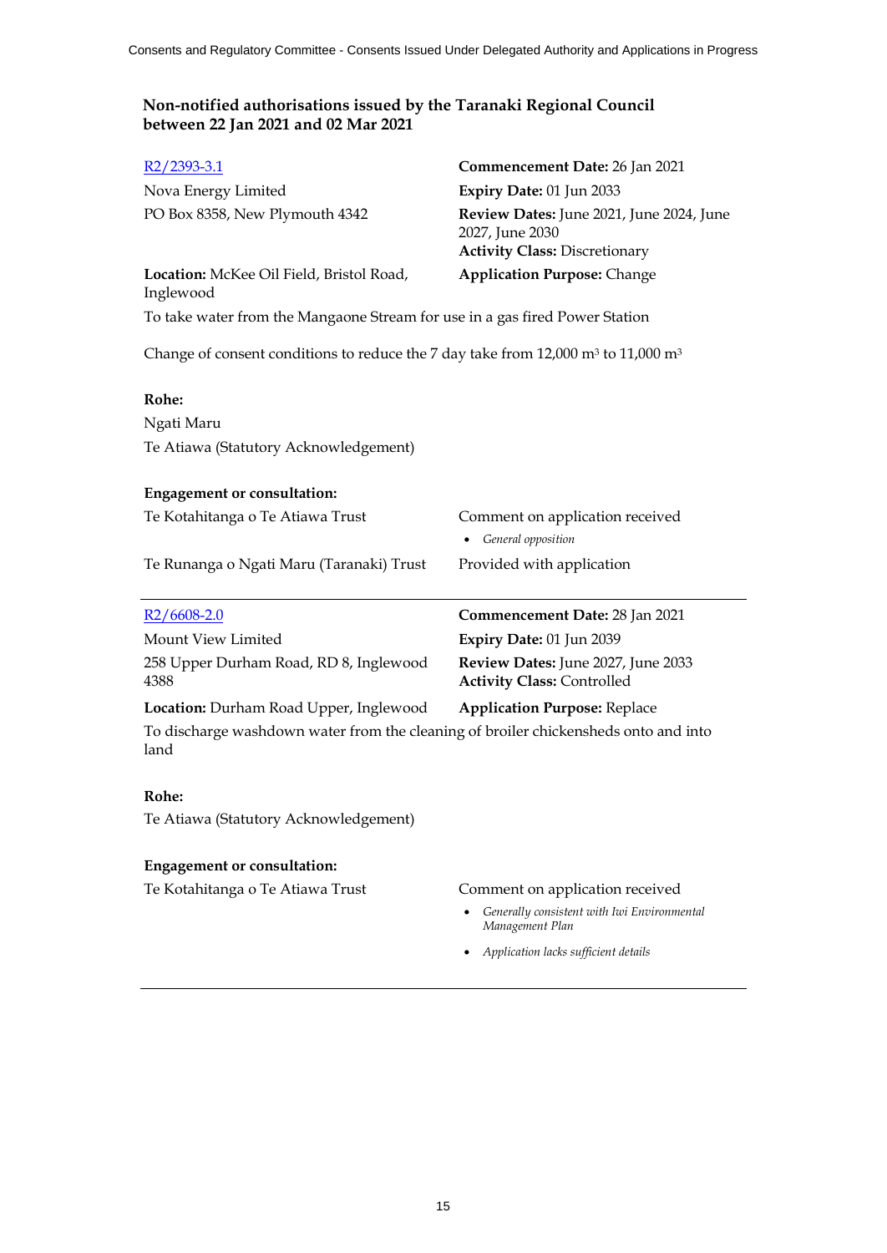| $R2/2393-3.1$                                                                                         | Commencement Date: 26 Jan 2021                                                                      |
|-------------------------------------------------------------------------------------------------------|-----------------------------------------------------------------------------------------------------|
| Nova Energy Limited                                                                                   | Expiry Date: 01 Jun 2033                                                                            |
| PO Box 8358, New Plymouth 4342                                                                        | Review Dates: June 2021, June 2024, June<br>2027, June 2030<br><b>Activity Class: Discretionary</b> |
| Location: McKee Oil Field, Bristol Road,<br>Inglewood                                                 | <b>Application Purpose: Change</b>                                                                  |
| To take water from the Mangaone Stream for use in a gas fired Power Station                           |                                                                                                     |
| Change of consent conditions to reduce the 7 day take from 12,000 $\text{m}^3$ to 11,000 $\text{m}^3$ |                                                                                                     |
| Rohe:                                                                                                 |                                                                                                     |
| Ngati Maru                                                                                            |                                                                                                     |
| Te Atiawa (Statutory Acknowledgement)                                                                 |                                                                                                     |
| <b>Engagement or consultation:</b>                                                                    |                                                                                                     |
| Te Kotahitanga o Te Atiawa Trust                                                                      | Comment on application received<br>General opposition                                               |
| Te Runanga o Ngati Maru (Taranaki) Trust                                                              | Provided with application                                                                           |
| $R2/6608-2.0$                                                                                         | Commencement Date: 28 Jan 2021                                                                      |
| Mount View Limited                                                                                    | Expiry Date: 01 Jun 2039                                                                            |
| 258 Upper Durham Road, RD 8, Inglewood<br>4388                                                        | Review Dates: June 2027, June 2033<br><b>Activity Class: Controlled</b>                             |
| Location: Durham Road Upper, Inglewood                                                                | <b>Application Purpose: Replace</b>                                                                 |
| To discharge washdown water from the cleaning of broiler chickensheds onto and into<br>land           |                                                                                                     |
| Rohe:                                                                                                 |                                                                                                     |
| Te Atiawa (Statutory Acknowledgement)                                                                 |                                                                                                     |
| <b>Engagement or consultation:</b>                                                                    |                                                                                                     |

Te Kotahitanga o Te Atiawa Trust Comment on application received

- *Generally consistent with Iwi Environmental Management Plan*
- *Application lacks sufficient details*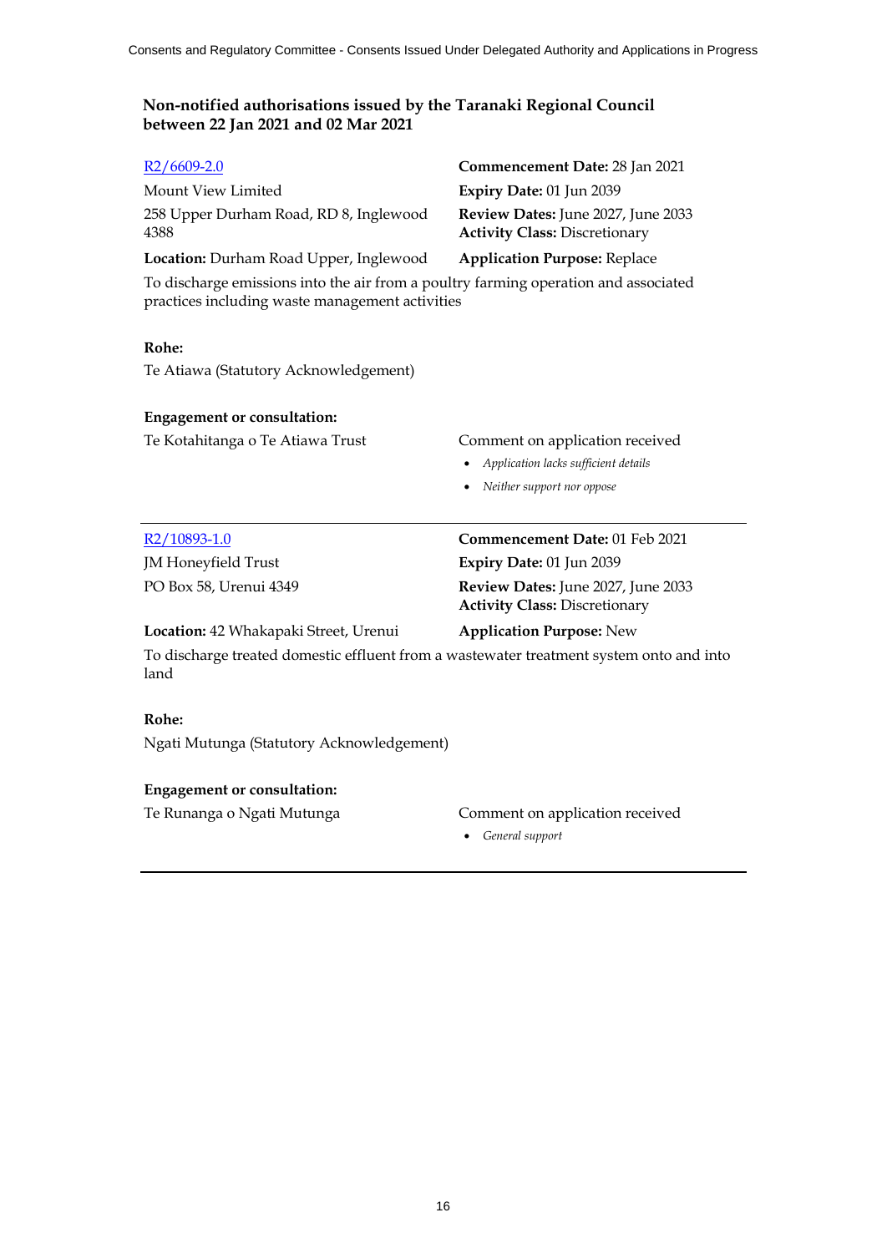| $R2/6609-2.0$                                                                                                                          | Commencement Date: 28 Jan 2021                                             |  |
|----------------------------------------------------------------------------------------------------------------------------------------|----------------------------------------------------------------------------|--|
| Mount View Limited                                                                                                                     | Expiry Date: 01 Jun 2039                                                   |  |
| 258 Upper Durham Road, RD 8, Inglewood<br>4388                                                                                         | Review Dates: June 2027, June 2033<br><b>Activity Class: Discretionary</b> |  |
| Location: Durham Road Upper, Inglewood                                                                                                 | <b>Application Purpose: Replace</b>                                        |  |
| To discharge emissions into the air from a poultry farming operation and associated<br>practices including waste management activities |                                                                            |  |
| Rohe:                                                                                                                                  |                                                                            |  |
| Te Atiawa (Statutory Acknowledgement)                                                                                                  |                                                                            |  |
| <b>Engagement or consultation:</b>                                                                                                     |                                                                            |  |
| Te Kotahitanga o Te Atiawa Trust                                                                                                       | Comment on application received                                            |  |
|                                                                                                                                        | Application lacks sufficient details                                       |  |
|                                                                                                                                        | Neither support nor oppose                                                 |  |
| R <sub>2</sub> /10893-1.0                                                                                                              | Commencement Date: 01 Feb 2021                                             |  |
| <b>JM</b> Honeyfield Trust                                                                                                             | Expiry Date: 01 Jun 2039                                                   |  |
| PO Box 58, Urenui 4349                                                                                                                 | Review Dates: June 2027, June 2033<br><b>Activity Class: Discretionary</b> |  |
| Location: 42 Whakapaki Street, Urenui                                                                                                  | <b>Application Purpose: New</b>                                            |  |
| To discharge treated domestic effluent from a wastewater treatment system onto and into<br>land                                        |                                                                            |  |
| Rohe:                                                                                                                                  |                                                                            |  |
| Ngati Mutunga (Statutory Acknowledgement)                                                                                              |                                                                            |  |

# **Engagement or consultation:**

# Te Runanga o Ngati Mutunga Comment on application received

*General support*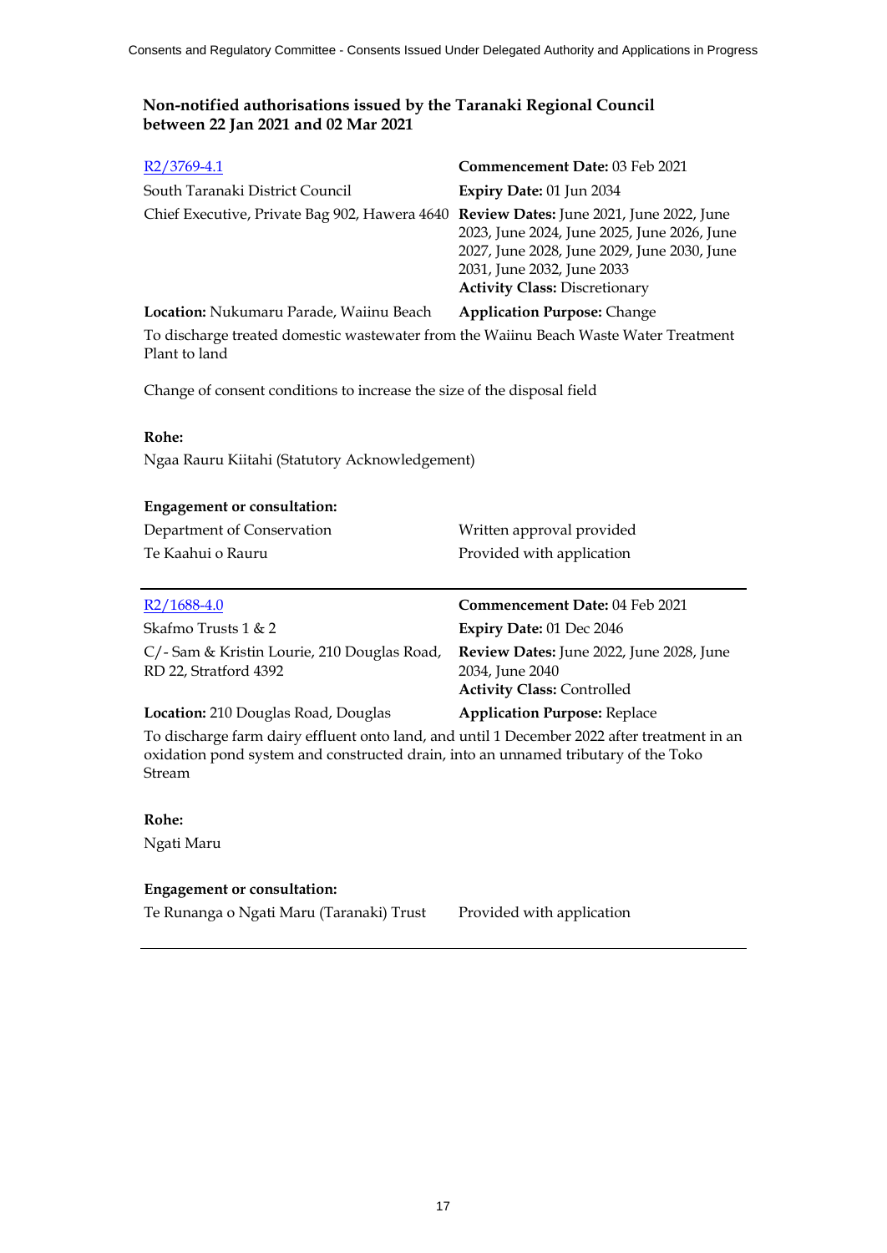| $R2/3769-4.1$                                                                          | Commencement Date: 03 Feb 2021                                                                                                                                   |
|----------------------------------------------------------------------------------------|------------------------------------------------------------------------------------------------------------------------------------------------------------------|
| South Taranaki District Council                                                        | Expiry Date: 01 Jun 2034                                                                                                                                         |
| Chief Executive, Private Bag 902, Hawera 4640 Review Dates: June 2021, June 2022, June | 2023, June 2024, June 2025, June 2026, June<br>2027, June 2028, June 2029, June 2030, June<br>2031, June 2032, June 2033<br><b>Activity Class: Discretionary</b> |
| Location: Nukumaru Parade, Waiinu Beach                                                | <b>Application Purpose: Change</b>                                                                                                                               |

To discharge treated domestic wastewater from the Waiinu Beach Waste Water Treatment Plant to land

Change of consent conditions to increase the size of the disposal field

#### **Rohe:**

Ngaa Rauru Kiitahi (Statutory Acknowledgement)

#### **Engagement or consultation:**

| Department of Conservation | Written approval provided |
|----------------------------|---------------------------|
| Te Kaahui o Rauru          | Provided with application |

| $R2/1688-4.0$                                                       | Commencement Date: 04 Feb 2021                                                                   |
|---------------------------------------------------------------------|--------------------------------------------------------------------------------------------------|
| Skafmo Trusts $1 < 2$                                               | Expiry Date: $01$ Dec $2046$                                                                     |
| C/-Sam & Kristin Lourie, 210 Douglas Road,<br>RD 22, Stratford 4392 | Review Dates: June 2022, June 2028, June<br>2034, June 2040<br><b>Activity Class: Controlled</b> |
| Location: 210 Douglas Road, Douglas                                 | <b>Application Purpose: Replace</b>                                                              |

To discharge farm dairy effluent onto land, and until 1 December 2022 after treatment in an oxidation pond system and constructed drain, into an unnamed tributary of the Toko Stream

#### **Rohe:**

Ngati Maru

### **Engagement or consultation:**

Te Runanga o Ngati Maru (Taranaki) Trust Provided with application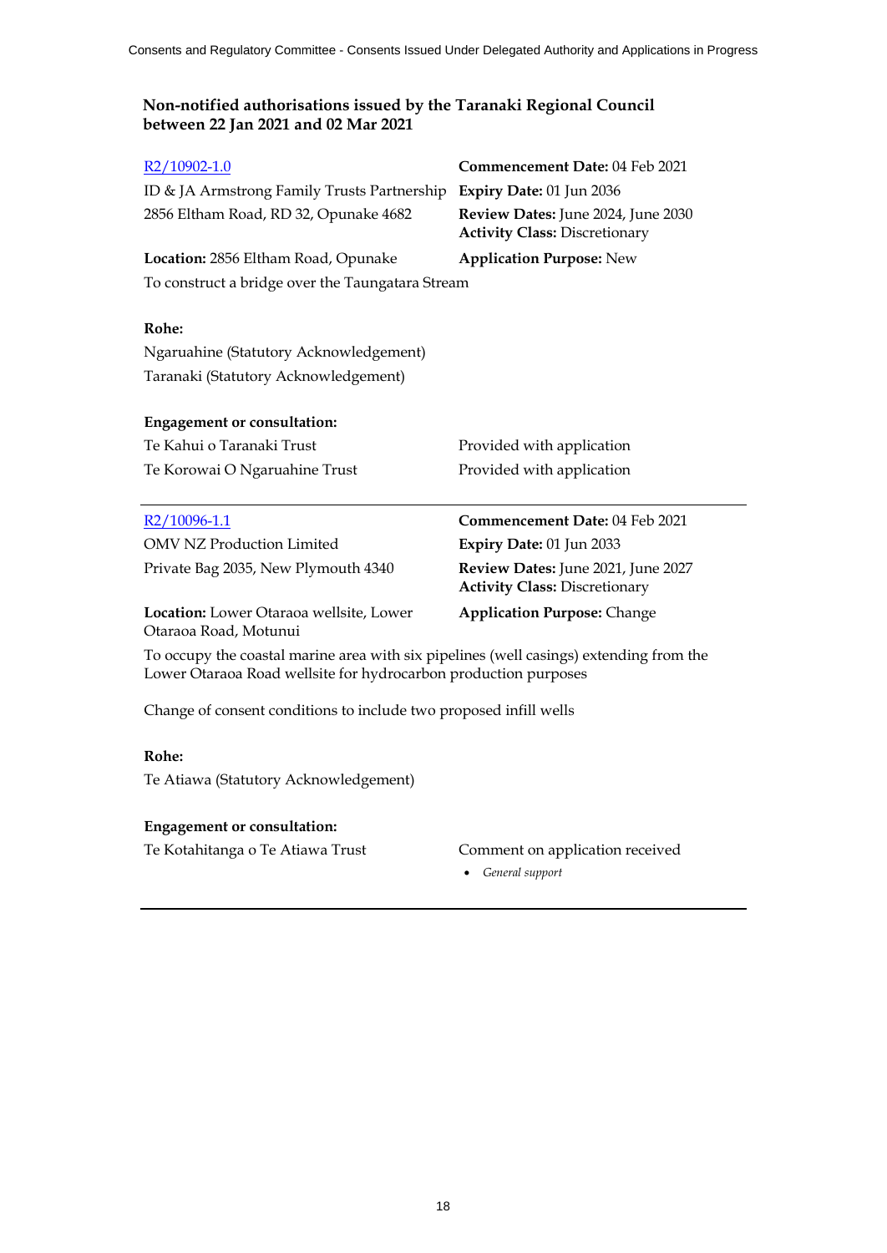| R <sub>2</sub> /10902-1.0                        | <b>Commencement Date: 04 Feb 2021</b>                                      |  |
|--------------------------------------------------|----------------------------------------------------------------------------|--|
| ID & JA Armstrong Family Trusts Partnership      | Expiry Date: $01$ Jun 2036                                                 |  |
| 2856 Eltham Road, RD 32, Opunake 4682            | Review Dates: June 2024, June 2030<br><b>Activity Class: Discretionary</b> |  |
| Location: 2856 Eltham Road, Opunake              | <b>Application Purpose: New</b>                                            |  |
| To construct a bridge over the Taungatara Stream |                                                                            |  |
|                                                  |                                                                            |  |
| Rohe:                                            |                                                                            |  |
| Ngaruahine (Statutory Acknowledgement)           |                                                                            |  |
| Taranaki (Statutory Acknowledgement)             |                                                                            |  |
|                                                  |                                                                            |  |
| <b>Engagement or consultation:</b>               |                                                                            |  |
| Te Kahui o Taranaki Trust                        | Provided with application                                                  |  |

| Te Kanui o Taranaki Trust     |    |
|-------------------------------|----|
| Te Korowai O Ngaruahine Trust | P1 |

| R2/10096-1.1                        |  |
|-------------------------------------|--|
| <b>OMV NZ Production Limited</b>    |  |
| Private Bag 2035, New Plymouth 4340 |  |

**Location:** Lower Otaraoa wellsite, Lower Otaraoa Road, Motunui

rovided with application

**Commencement Date:** 04 Feb 2021 **Expiry Date:** 01 Jun 2033 Review Dates: June 2021, June 2027 **Activity Class:** Discretionary

# **Application Purpose:** Change

To occupy the coastal marine area with six pipelines (well casings) extending from the Lower Otaraoa Road wellsite for hydrocarbon production purposes

Change of consent conditions to include two proposed infill wells

### **Rohe:**

Te Atiawa (Statutory Acknowledgement)

### **Engagement or consultation:**

Te Kotahitanga o Te Atiawa Trust Comment on application received

*General support*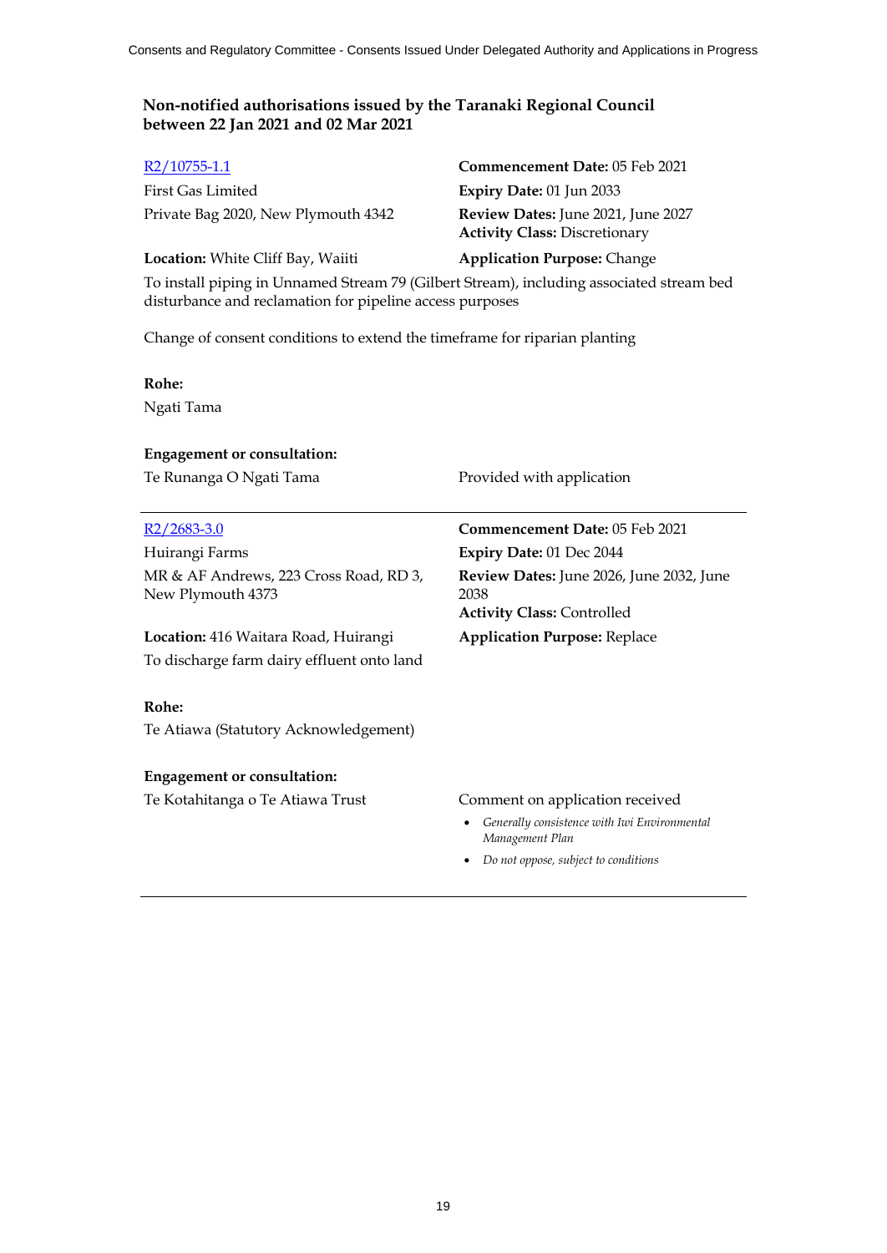| R2/10755-1.1                                                                                                                                         | Commencement Date: 05 Feb 2021                                             |  |
|------------------------------------------------------------------------------------------------------------------------------------------------------|----------------------------------------------------------------------------|--|
| First Gas Limited                                                                                                                                    | Expiry Date: 01 Jun 2033                                                   |  |
| Private Bag 2020, New Plymouth 4342                                                                                                                  | Review Dates: June 2021, June 2027<br><b>Activity Class: Discretionary</b> |  |
| Location: White Cliff Bay, Waiiti                                                                                                                    | <b>Application Purpose: Change</b>                                         |  |
| To install piping in Unnamed Stream 79 (Gilbert Stream), including associated stream bed<br>disturbance and reclamation for pipeline access purposes |                                                                            |  |

Change of consent conditions to extend the timeframe for riparian planting

#### **Rohe:**

Ngati Tama

#### **Engagement or consultation:**

Te Runanga O Ngati Tama Provided with application

Huirangi Farms **Expiry Date:** 01 Dec 2044 MR & AF Andrews, 223 Cross Road, RD 3, New Plymouth 4373

**Location:** 416 Waitara Road, Huirangi **Application Purpose:** Replace To discharge farm dairy effluent onto land

### **Rohe:**

Te Atiawa (Statutory Acknowledgement)

#### **Engagement or consultation:**

Te Kotahitanga o Te Atiawa Trust Comment on application received

R2/2683-3.0 **Commencement Date:** 05 Feb 2021 **Review Dates:** June 2026, June 2032, June 2038 **Activity Class:** Controlled

- *Generally consistence with Iwi Environmental Management Plan*
- *Do not oppose, subject to conditions*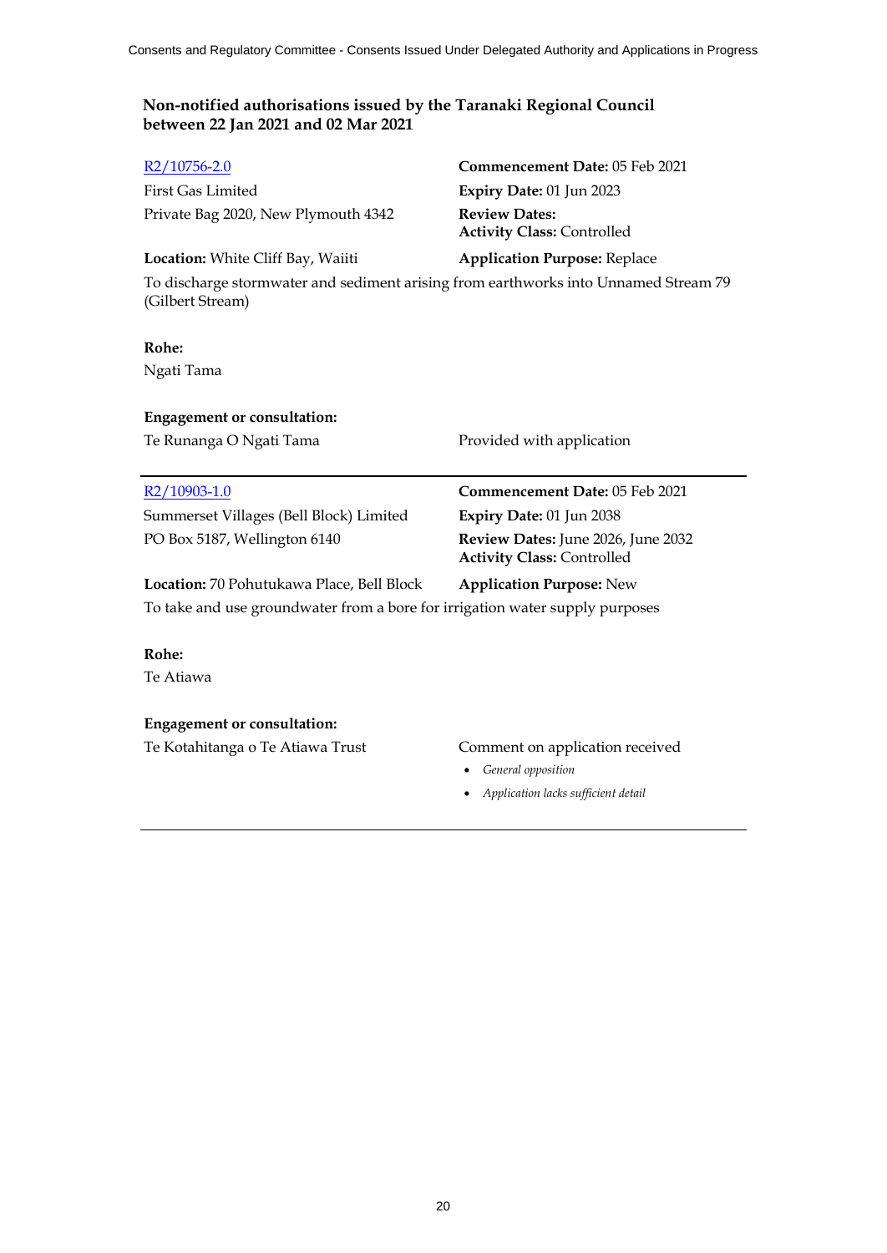| R2/10756-2.0                                                                                            | Commencement Date: 05 Feb 2021                            |  |
|---------------------------------------------------------------------------------------------------------|-----------------------------------------------------------|--|
| <b>First Gas Limited</b>                                                                                | Expiry Date: $01$ Jun 2023                                |  |
| Private Bag 2020, New Plymouth 4342                                                                     | <b>Review Dates:</b><br><b>Activity Class: Controlled</b> |  |
| <b>Location:</b> White Cliff Bay, Waiiti                                                                | <b>Application Purpose: Replace</b>                       |  |
| To discharge stormwater and sediment arising from earthworks into Unnamed Stream 79<br>(Gilbert Stream) |                                                           |  |
| Rohe:                                                                                                   |                                                           |  |
| Ngati Tama                                                                                              |                                                           |  |

# **Engagement or consultation:**

Te Runanga O Ngati Tama Provided with application

Summerset Villages (Bell Block) Limited **Expiry Date:** 01 Jun 2038 PO Box 5187, Wellington 6140 **Review Dates:** June 2026, June 2032

# R2/10903-1.0 **Commencement Date:** 05 Feb 2021

**Activity Class:** Controlled

# **Location:** 70 Pohutukawa Place, Bell Block **Application Purpose:** New

To take and use groundwater from a bore for irrigation water supply purposes

### **Rohe:**

Te Atiawa

### **Engagement or consultation:**

Te Kotahitanga o Te Atiawa Trust Comment on application received

- *General opposition*
- *Application lacks sufficient detail*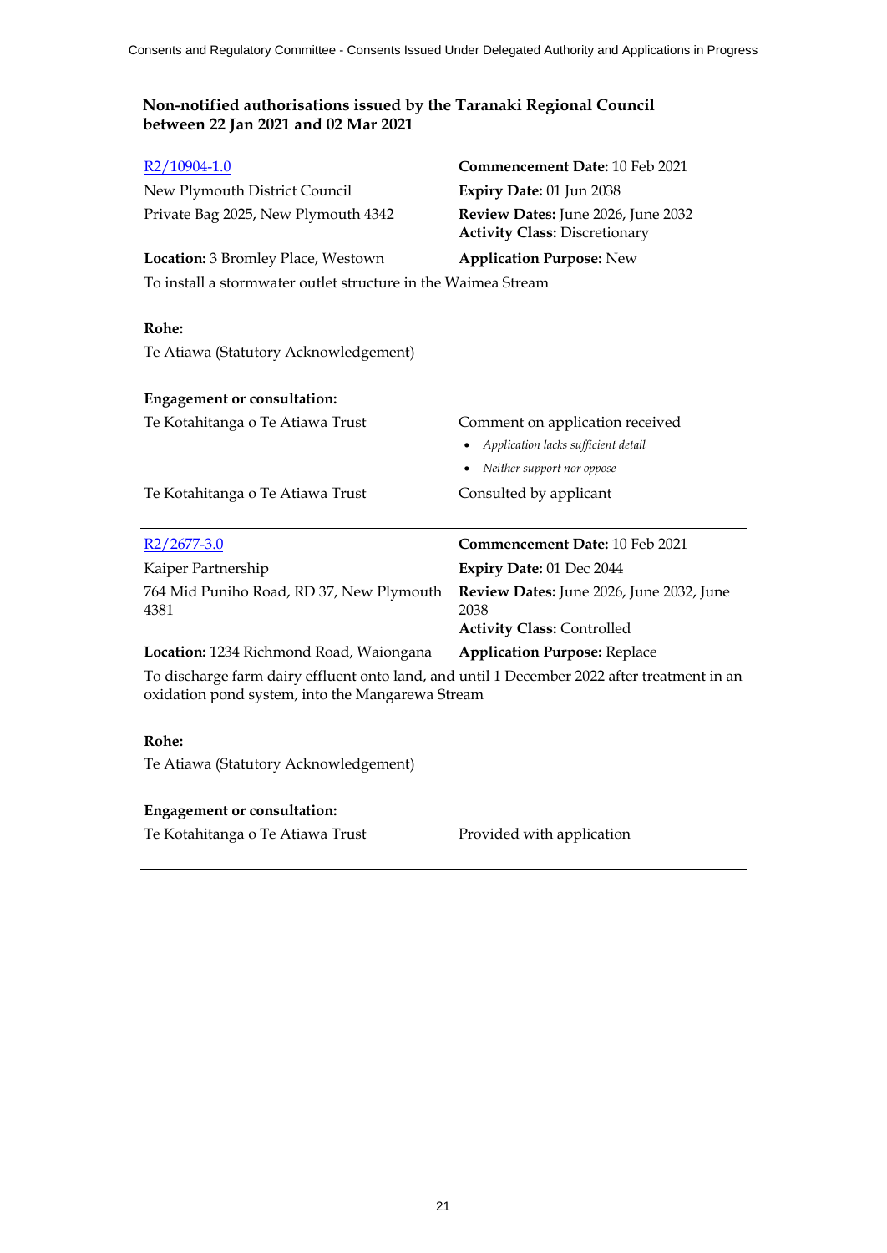| $R2/10904-1.0$                                                                                                                                  | <b>Commencement Date: 10 Feb 2021</b>                                      |
|-------------------------------------------------------------------------------------------------------------------------------------------------|----------------------------------------------------------------------------|
| New Plymouth District Council                                                                                                                   | Expiry Date: 01 Jun 2038                                                   |
| Private Bag 2025, New Plymouth 4342                                                                                                             | Review Dates: June 2026, June 2032<br><b>Activity Class: Discretionary</b> |
| Location: 3 Bromley Place, Westown                                                                                                              | <b>Application Purpose: New</b>                                            |
| To install a stormwater outlet structure in the Waimea Stream                                                                                   |                                                                            |
|                                                                                                                                                 |                                                                            |
| Rohe:                                                                                                                                           |                                                                            |
| Te Atiawa (Statutory Acknowledgement)                                                                                                           |                                                                            |
|                                                                                                                                                 |                                                                            |
| <b>Engagement or consultation:</b>                                                                                                              |                                                                            |
| Te Kotahitanga o Te Atiawa Trust                                                                                                                | Comment on application received                                            |
|                                                                                                                                                 | Application lacks sufficient detail                                        |
|                                                                                                                                                 | • Neither support nor oppose                                               |
| Te Kotahitanga o Te Atiawa Trust                                                                                                                | Consulted by applicant                                                     |
|                                                                                                                                                 |                                                                            |
| $R2/2677-3.0$                                                                                                                                   | Commencement Date: 10 Feb 2021                                             |
| Kaiper Partnership                                                                                                                              | Expiry Date: 01 Dec 2044                                                   |
| 764 Mid Puniho Road, RD 37, New Plymouth                                                                                                        | Review Dates: June 2026, June 2032, June                                   |
| 4381                                                                                                                                            | 2038                                                                       |
|                                                                                                                                                 | <b>Activity Class: Controlled</b>                                          |
| Location: 1234 Richmond Road, Waiongana                                                                                                         | <b>Application Purpose: Replace</b>                                        |
| To discharge farm dairy effluent onto land, and until 1 December 2022 after treatment in an<br>oxidation pond system, into the Mangarewa Stream |                                                                            |
|                                                                                                                                                 |                                                                            |
|                                                                                                                                                 |                                                                            |
| Rohe:                                                                                                                                           |                                                                            |
|                                                                                                                                                 |                                                                            |
| Te Atiawa (Statutory Acknowledgement)                                                                                                           |                                                                            |
| <b>Engagement or consultation:</b>                                                                                                              |                                                                            |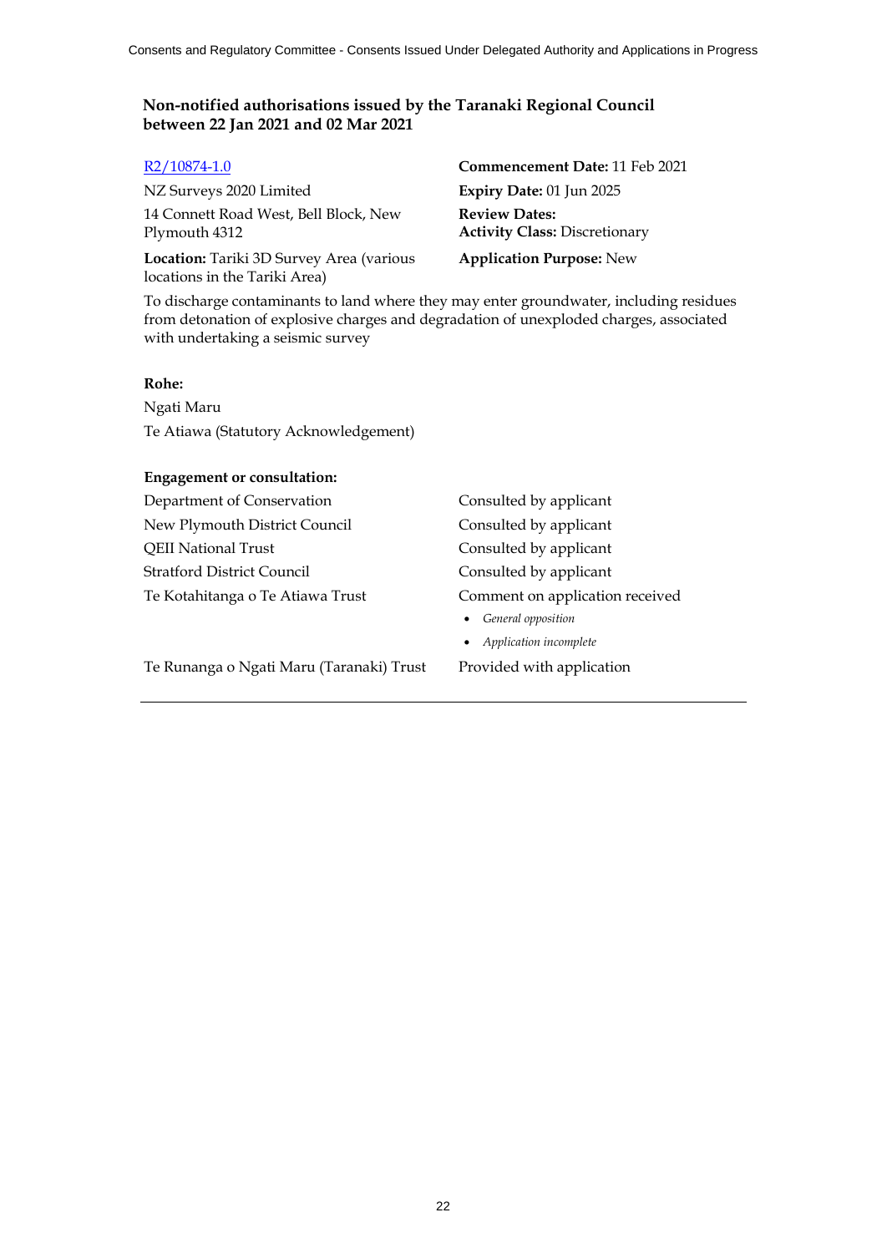NZ Surveys 2020 Limited **Expiry Date:** 01 Jun 2025 14 Connett Road West, Bell Block, New Plymouth 4312

**Location:** Tariki 3D Survey Area (various locations in the Tariki Area)

R2/10874-1.0 **Commencement Date:** 11 Feb 2021 **Review Dates: Activity Class:** Discretionary

**Application Purpose:** New

To discharge contaminants to land where they may enter groundwater, including residues from detonation of explosive charges and degradation of unexploded charges, associated with undertaking a seismic survey

#### **Rohe:**

Ngati Maru Te Atiawa (Statutory Acknowledgement)

#### **Engagement or consultation:**

Department of Conservation Consulted by applicant New Plymouth District Council Consulted by applicant QEII National Trust Consulted by applicant Stratford District Council Consulted by applicant Te Kotahitanga o Te Atiawa Trust Comment on application received

Te Runanga o Ngati Maru (Taranaki) Trust Provided with application

*General opposition*

*Application incomplete*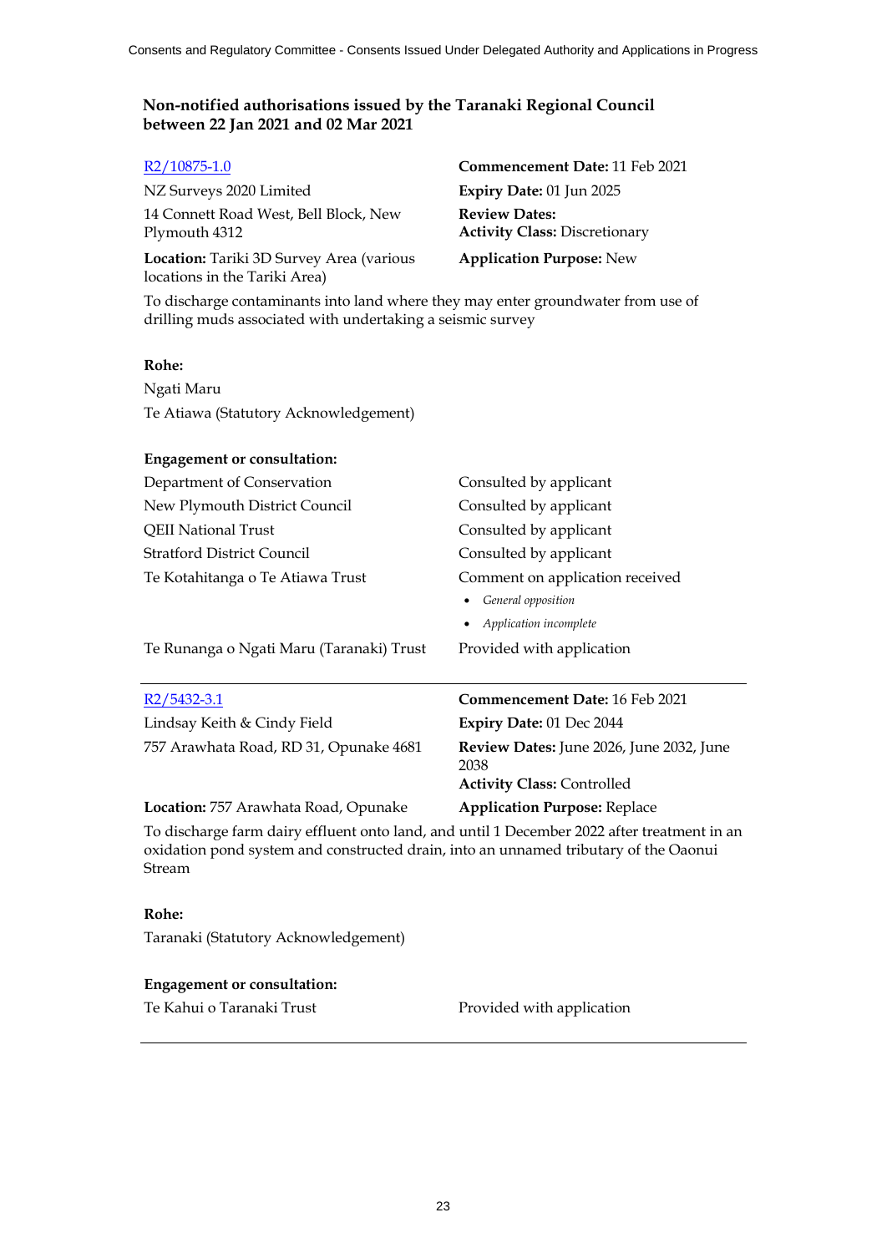| R <sub>2</sub> /10875-1.0                                                                                                                                                           | Commencement Date: 11 Feb 2021                                     |
|-------------------------------------------------------------------------------------------------------------------------------------------------------------------------------------|--------------------------------------------------------------------|
| NZ Surveys 2020 Limited                                                                                                                                                             | Expiry Date: 01 Jun 2025                                           |
| 14 Connett Road West, Bell Block, New<br>Plymouth 4312                                                                                                                              | <b>Review Dates:</b><br><b>Activity Class: Discretionary</b>       |
| Location: Tariki 3D Survey Area (various<br>locations in the Tariki Area)                                                                                                           | <b>Application Purpose: New</b>                                    |
| To discharge contaminants into land where they may enter groundwater from use of<br>drilling muds associated with undertaking a seismic survey                                      |                                                                    |
| Rohe:                                                                                                                                                                               |                                                                    |
| Ngati Maru                                                                                                                                                                          |                                                                    |
| Te Atiawa (Statutory Acknowledgement)                                                                                                                                               |                                                                    |
| <b>Engagement or consultation:</b>                                                                                                                                                  |                                                                    |
| Department of Conservation                                                                                                                                                          | Consulted by applicant                                             |
| New Plymouth District Council                                                                                                                                                       | Consulted by applicant                                             |
| <b>QEII National Trust</b>                                                                                                                                                          | Consulted by applicant                                             |
| <b>Stratford District Council</b>                                                                                                                                                   | Consulted by applicant                                             |
| Te Kotahitanga o Te Atiawa Trust                                                                                                                                                    | Comment on application received<br>General opposition<br>$\bullet$ |
|                                                                                                                                                                                     | Application incomplete                                             |
| Te Runanga o Ngati Maru (Taranaki) Trust                                                                                                                                            | Provided with application                                          |
| $R2/5432-3.1$                                                                                                                                                                       | <b>Commencement Date: 16 Feb 2021</b>                              |
| Lindsay Keith & Cindy Field                                                                                                                                                         | Expiry Date: 01 Dec 2044                                           |
| 757 Arawhata Road, RD 31, Opunake 4681                                                                                                                                              | Review Dates: June 2026, June 2032, June<br>2038                   |
|                                                                                                                                                                                     | <b>Activity Class: Controlled</b>                                  |
| Location: 757 Arawhata Road, Opunake                                                                                                                                                | <b>Application Purpose: Replace</b>                                |
| To discharge farm dairy effluent onto land, and until 1 December 2022 after treatment in an<br>oxidation pond system and constructed drain, into an unnamed tributary of the Oaonui |                                                                    |

### **Rohe:**

Stream

Taranaki (Statutory Acknowledgement)

# **Engagement or consultation:**

Te Kahui o Taranaki Trust Provided with application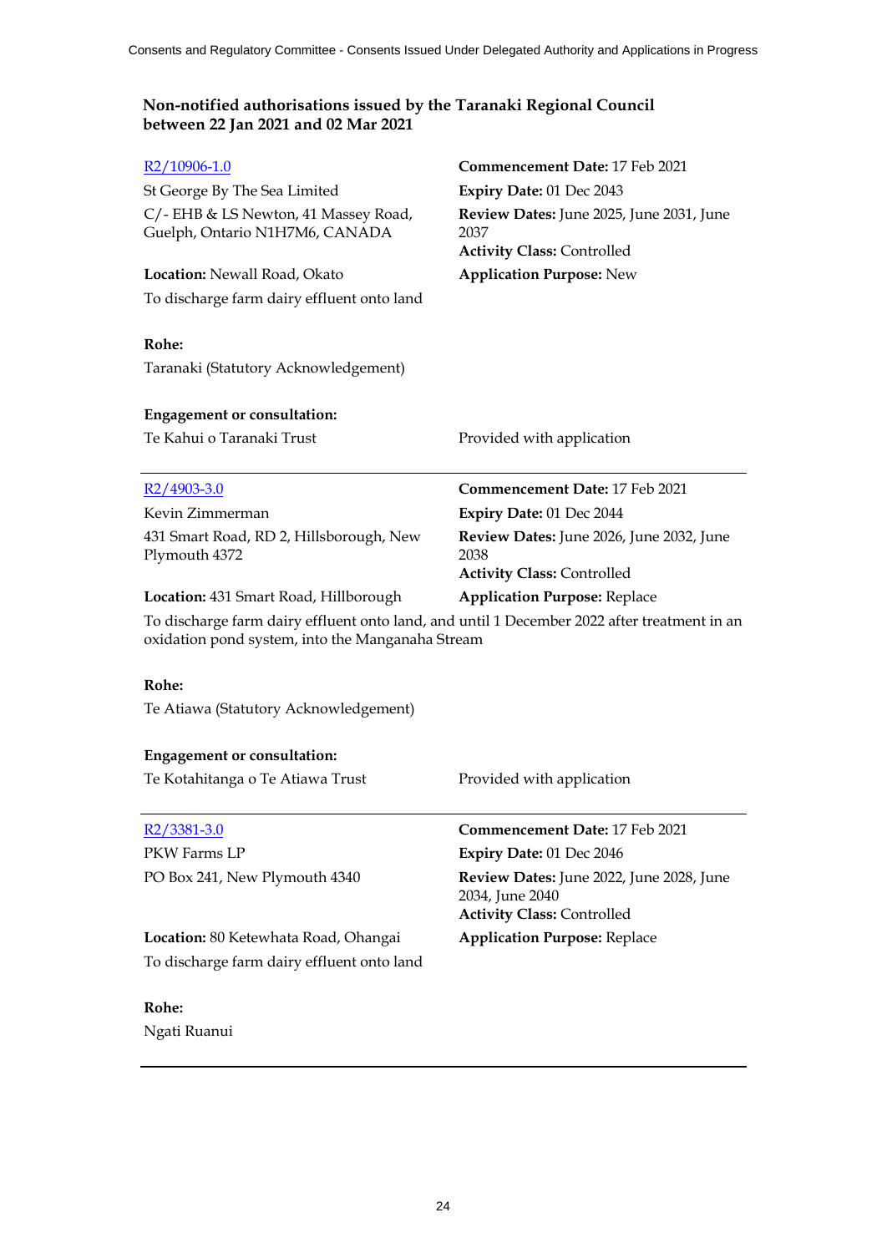| To discharge farm dairy effluent onto land<br>Rohe:<br>Taranaki (Statutory Acknowledgement)                                                       |
|---------------------------------------------------------------------------------------------------------------------------------------------------|
| <b>Engagement or consultation:</b>                                                                                                                |
| Te Kahui o Taranaki Trust<br>Provided with application                                                                                            |
| Commencement Date: 17 Feb 2021<br>$R2/4903-3.0$                                                                                                   |
| Kevin Zimmerman<br>Expiry Date: 01 Dec 2044                                                                                                       |
| 431 Smart Road, RD 2, Hillsborough, New<br>Review Dates: June 2026, June 2032, June<br>2038<br>Plymouth 4372<br><b>Activity Class: Controlled</b> |
| Location: 431 Smart Road, Hillborough<br><b>Application Purpose: Replace</b>                                                                      |
| To discharge farm dairy effluent onto land, and until 1 December 2022 after treatment in an<br>oxidation pond system, into the Manganaha Stream   |
| Rohe:                                                                                                                                             |
| Te Atiawa (Statutory Acknowledgement)                                                                                                             |
| <b>Engagement or consultation:</b>                                                                                                                |
| Te Kotahitanga o Te Atiawa Trust<br>Provided with application                                                                                     |
| Commencement Date: 17 Feb 2021<br>$R2/3381-3.0$                                                                                                   |
| PKW Farms LP<br>Expiry Date: 01 Dec 2046                                                                                                          |
| PO Box 241, New Plymouth 4340<br>Review Dates: June 2022, June 2028, June<br>2034, June 2040<br><b>Activity Class: Controlled</b>                 |
| <b>Application Purpose: Replace</b><br>Location: 80 Ketewhata Road, Ohangai                                                                       |
| To discharge farm dairy effluent onto land                                                                                                        |
| Rohe:                                                                                                                                             |
| Ngati Ruanui                                                                                                                                      |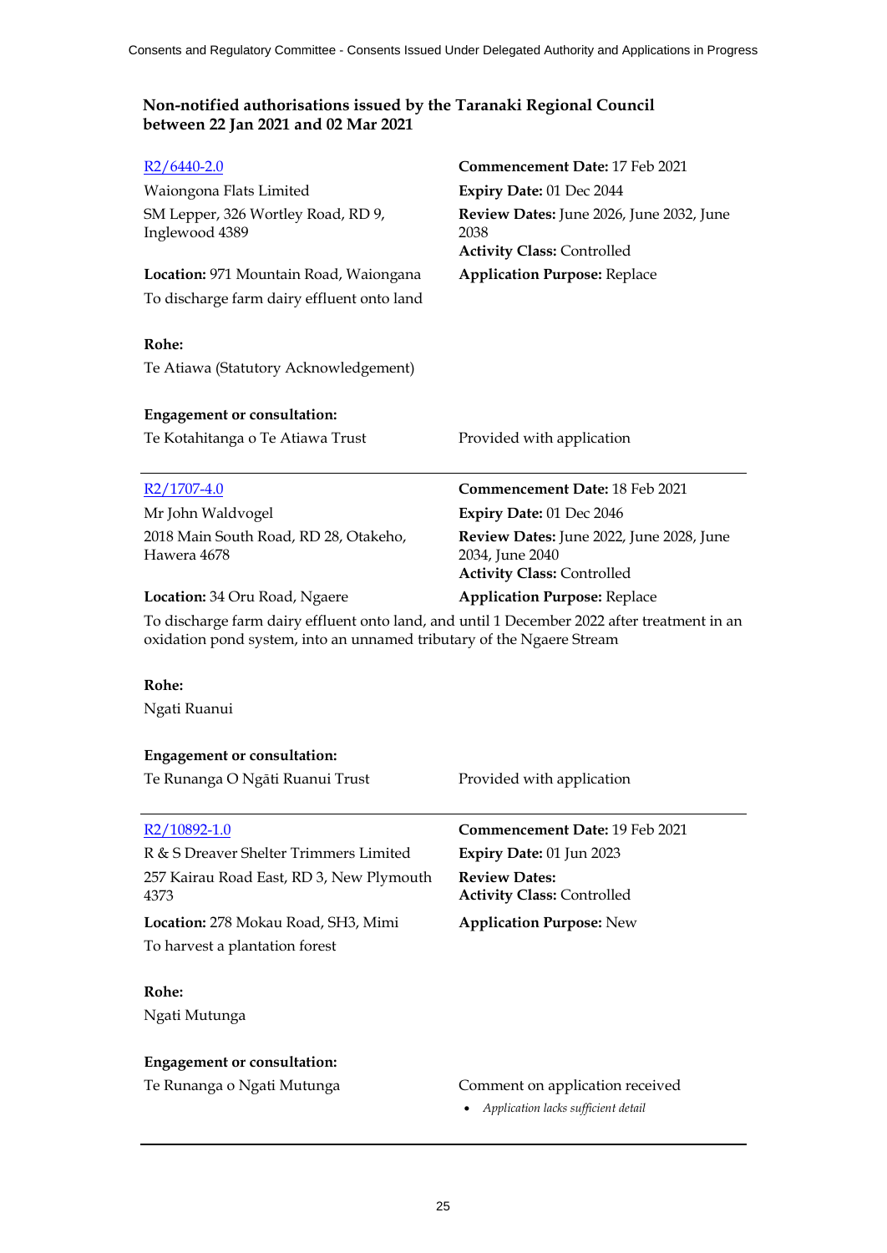| $R2/6440-2.0$                                                                                                                                                        | <b>Commencement Date: 17 Feb 2021</b>                                                            |
|----------------------------------------------------------------------------------------------------------------------------------------------------------------------|--------------------------------------------------------------------------------------------------|
| Waiongona Flats Limited                                                                                                                                              | Expiry Date: 01 Dec 2044                                                                         |
| SM Lepper, 326 Wortley Road, RD 9,<br>Inglewood 4389                                                                                                                 | Review Dates: June 2026, June 2032, June<br>2038<br><b>Activity Class: Controlled</b>            |
| Location: 971 Mountain Road, Waiongana                                                                                                                               | <b>Application Purpose: Replace</b>                                                              |
| To discharge farm dairy effluent onto land                                                                                                                           |                                                                                                  |
| Rohe:                                                                                                                                                                |                                                                                                  |
| Te Atiawa (Statutory Acknowledgement)                                                                                                                                |                                                                                                  |
| <b>Engagement or consultation:</b>                                                                                                                                   |                                                                                                  |
| Te Kotahitanga o Te Atiawa Trust                                                                                                                                     | Provided with application                                                                        |
| $R2/1707-4.0$                                                                                                                                                        | <b>Commencement Date: 18 Feb 2021</b>                                                            |
| Mr John Waldvogel                                                                                                                                                    | Expiry Date: 01 Dec 2046                                                                         |
| 2018 Main South Road, RD 28, Otakeho,<br>Hawera 4678                                                                                                                 | Review Dates: June 2022, June 2028, June<br>2034, June 2040<br><b>Activity Class: Controlled</b> |
| Location: 34 Oru Road, Ngaere                                                                                                                                        | <b>Application Purpose: Replace</b>                                                              |
| To discharge farm dairy effluent onto land, and until 1 December 2022 after treatment in an<br>oxidation pond system, into an unnamed tributary of the Ngaere Stream |                                                                                                  |
| Rohe:                                                                                                                                                                |                                                                                                  |
| Ngati Ruanui                                                                                                                                                         |                                                                                                  |
| <b>Engagement or consultation:</b>                                                                                                                                   |                                                                                                  |
| Te Runanga O Ngāti Ruanui Trust                                                                                                                                      | Provided with application                                                                        |
| R <sub>2</sub> /10892-1.0                                                                                                                                            | <b>Commencement Date: 19 Feb 2021</b>                                                            |
| R & S Dreaver Shelter Trimmers Limited                                                                                                                               | Expiry Date: 01 Jun 2023                                                                         |
| 257 Kairau Road East, RD 3, New Plymouth<br>4373                                                                                                                     | <b>Review Dates:</b><br><b>Activity Class: Controlled</b>                                        |
| Location: 278 Mokau Road, SH3, Mimi                                                                                                                                  | <b>Application Purpose: New</b>                                                                  |
| To harvest a plantation forest                                                                                                                                       |                                                                                                  |
| Rohe:                                                                                                                                                                |                                                                                                  |
| $N_{\infty}$ $\mu$ , $\mu_{\text{other}}$                                                                                                                            |                                                                                                  |

Ngati Mutunga

# **Engagement or consultation:**

- Te Runanga o Ngati Mutunga **Comment on application received** 
	- *Application lacks sufficient detail*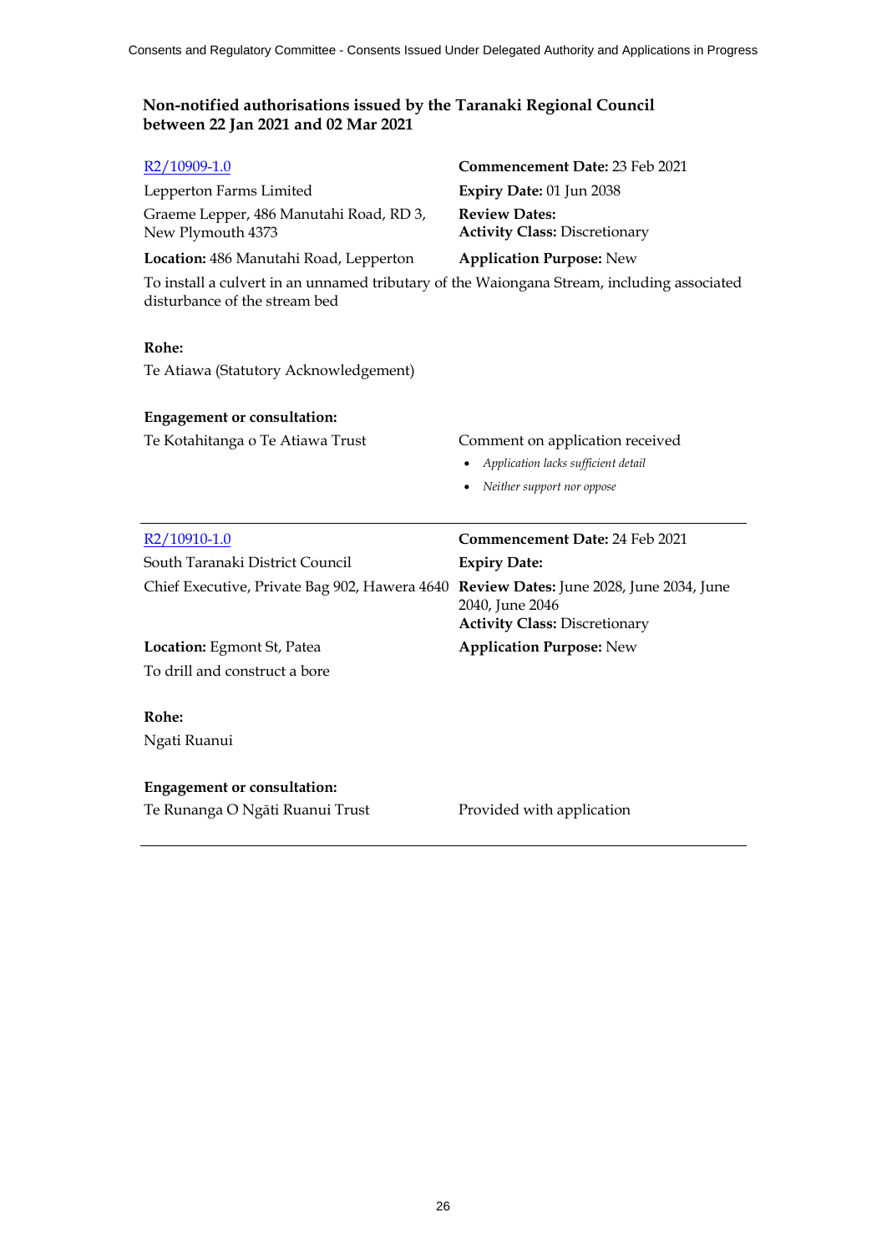| R <sub>2</sub> /10909-1.0                                                                                                   | Commencement Date: 23 Feb 2021                                                                             |
|-----------------------------------------------------------------------------------------------------------------------------|------------------------------------------------------------------------------------------------------------|
| Lepperton Farms Limited                                                                                                     | Expiry Date: 01 Jun 2038                                                                                   |
| Graeme Lepper, 486 Manutahi Road, RD 3,<br>New Plymouth 4373                                                                | <b>Review Dates:</b><br><b>Activity Class: Discretionary</b>                                               |
| Location: 486 Manutahi Road, Lepperton                                                                                      | <b>Application Purpose: New</b>                                                                            |
| To install a culvert in an unnamed tributary of the Waiongana Stream, including associated<br>disturbance of the stream bed |                                                                                                            |
| Rohe:                                                                                                                       |                                                                                                            |
| Te Atiawa (Statutory Acknowledgement)                                                                                       |                                                                                                            |
| <b>Engagement or consultation:</b>                                                                                          |                                                                                                            |
| Te Kotahitanga o Te Atiawa Trust                                                                                            | Comment on application received                                                                            |
|                                                                                                                             | Application lacks sufficient detail                                                                        |
|                                                                                                                             | Neither support nor oppose<br>$\bullet$                                                                    |
|                                                                                                                             |                                                                                                            |
| R <sub>2</sub> /10910-1.0                                                                                                   | <b>Commencement Date: 24 Feb 2021</b>                                                                      |
| South Taranaki District Council                                                                                             | <b>Expiry Date:</b>                                                                                        |
| Chief Executive, Private Bag 902, Hawera 4640                                                                               | <b>Review Dates:</b> June 2028, June 2034, June<br>2040, June 2046<br><b>Activity Class: Discretionary</b> |
| Location: Egmont St, Patea                                                                                                  | <b>Application Purpose: New</b>                                                                            |
| To drill and construct a bore                                                                                               |                                                                                                            |
| Rohe:                                                                                                                       |                                                                                                            |
| Ngati Ruanui                                                                                                                |                                                                                                            |
| <b>Engagement or consultation:</b>                                                                                          |                                                                                                            |